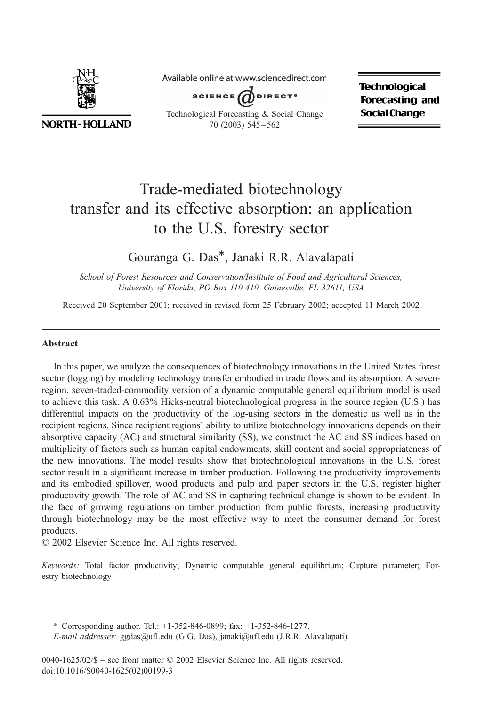

**NORTH-HOLLAND** 

Available online at www.sciencedirect.com



Technological Forecasting & Social Change 70 (2003) 545 – 562

**Technological Forecasting and Social Change** 

# Trade-mediated biotechnology transfer and its effective absorption: an application to the U.S. forestry sector

### Gouranga G. Das\*, Janaki R.R. Alavalapati

School of Forest Resources and Conservation/Institute of Food and Agricultural Sciences, University of Florida, PO Box 110 410, Gainesville, FL 32611, USA

Received 20 September 2001; received in revised form 25 February 2002; accepted 11 March 2002

#### Abstract

In this paper, we analyze the consequences of biotechnology innovations in the United States forest sector (logging) by modeling technology transfer embodied in trade flows and its absorption. A sevenregion, seven-traded-commodity version of a dynamic computable general equilibrium model is used to achieve this task. A 0.63% Hicks-neutral biotechnological progress in the source region (U.S.) has differential impacts on the productivity of the log-using sectors in the domestic as well as in the recipient regions. Since recipient regions' ability to utilize biotechnology innovations depends on their absorptive capacity (AC) and structural similarity (SS), we construct the AC and SS indices based on multiplicity of factors such as human capital endowments, skill content and social appropriateness of the new innovations. The model results show that biotechnological innovations in the U.S. forest sector result in a significant increase in timber production. Following the productivity improvements and its embodied spillover, wood products and pulp and paper sectors in the U.S. register higher productivity growth. The role of AC and SS in capturing technical change is shown to be evident. In the face of growing regulations on timber production from public forests, increasing productivity through biotechnology may be the most effective way to meet the consumer demand for forest products.

 $© 2002 Elsevier Science Inc. All rights reserved.$ 

Keywords: Total factor productivity; Dynamic computable general equilibrium; Capture parameter; Forestry biotechnology

\* Corresponding author. Tel.: +1-352-846-0899; fax: +1-352-846-1277.

E-mail addresses: ggdas@ufl.edu (G.G. Das), janaki@ufl.edu (J.R.R. Alavalapati).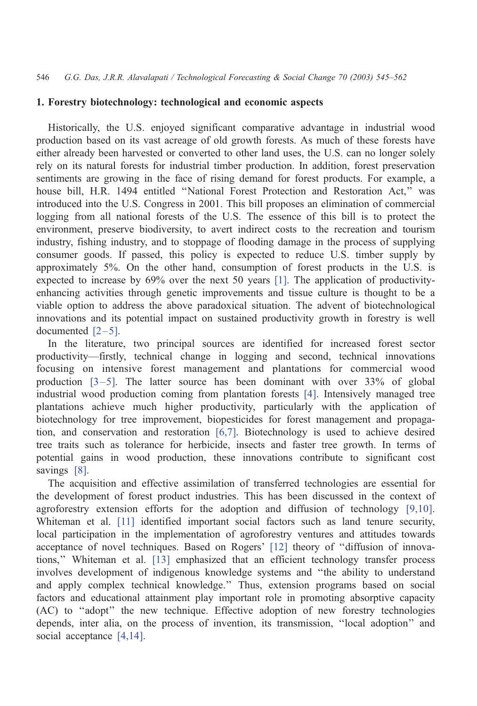### 1. Forestry biotechnology: technological and economic aspects

Historically, the U.S. enjoyed significant comparative advantage in industrial wood production based on its vast acreage of old growth forests. As much of these forests have either already been harvested or converted to other land uses, the U.S. can no longer solely rely on its natural forests for industrial timber production. In addition, forest preservation sentiments are growing in the face of rising demand for forest products. For example, a house bill, H.R. 1494 entitled ''National Forest Protection and Restoration Act,'' was introduced into the U.S. Congress in 2001. This bill proposes an elimination of commercial logging from all national forests of the U.S. The essence of this bill is to protect the environment, preserve biodiversity, to avert indirect costs to the recreation and tourism industry, fishing industry, and to stoppage of flooding damage in the process of supplying consumer goods. If passed, this policy is expected to reduce U.S. timber supply by approximately 5%. On the other hand, consumption of forest products in the U.S. is expected to increase by 69% over the next 50 years [\[1\].](#page--1-0) The application of productivityenhancing activities through genetic improvements and tissue culture is thought to be a viable option to address the above paradoxical situation. The advent of biotechnological innovations and its potential impact on sustained productivity growth in forestry is well documented [\[2–5\].](#page--1-0)

In the literature, two principal sources are identified for increased forest sector productivity—firstly, technical change in logging and second, technical innovations focusing on intensive forest management and plantations for commercial wood production  $[3-5]$ . The latter source has been dominant with over 33% of global industrial wood production coming from plantation forests [\[4\].](#page--1-0) Intensively managed tree plantations achieve much higher productivity, particularly with the application of biotechnology for tree improvement, biopesticides for forest management and propagation, and conservation and restoration [\[6,7\].](#page--1-0) Biotechnology is used to achieve desired tree traits such as tolerance for herbicide, insects and faster tree growth. In terms of potential gains in wood production, these innovations contribute to significant cost savings [\[8\]](#page--1-0).

The acquisition and effective assimilation of transferred technologies are essential for the development of forest product industries. This has been discussed in the context of agroforestry extension efforts for the adoption and diffusion of technology [\[9,10\].](#page--1-0) Whiteman et al. [\[11\]](#page--1-0) identified important social factors such as land tenure security, local participation in the implementation of agroforestry ventures and attitudes towards acceptance of novel techniques. Based on Rogers' [\[12\]](#page--1-0) theory of ''diffusion of innovations,'' Whiteman et al. [\[13\]](#page--1-0) emphasized that an efficient technology transfer process involves development of indigenous knowledge systems and ''the ability to understand and apply complex technical knowledge.'' Thus, extension programs based on social factors and educational attainment play important role in promoting absorptive capacity (AC) to ''adopt'' the new technique. Effective adoption of new forestry technologies depends, inter alia, on the process of invention, its transmission, ''local adoption'' and social acceptance [\[4,14\].](#page--1-0)